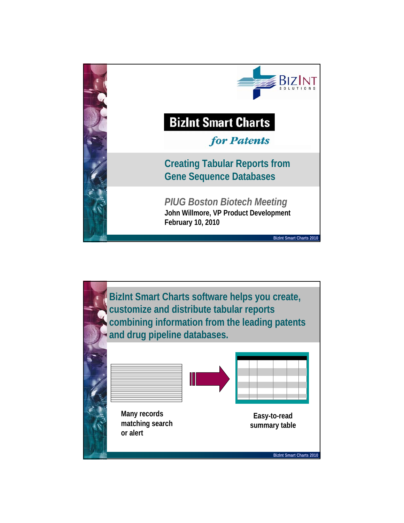

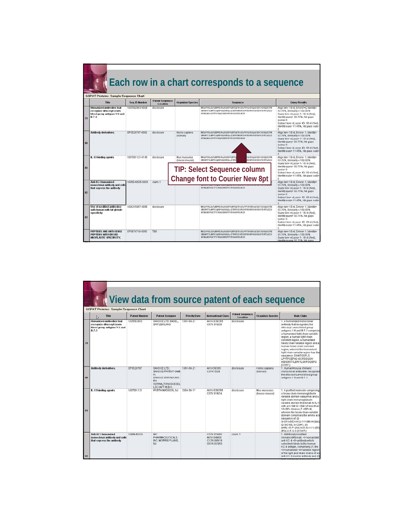|    | <b>GOPAT Proteins: Sample Sequence Chart</b>                                                          |                |                                    |                                                                                                              | Each row in a chart corresponds to a sequence                                                                                                                                                                                                                                                                                                                                                                                                                                                                      |                                                                                                                                                                                                                                                          |
|----|-------------------------------------------------------------------------------------------------------|----------------|------------------------------------|--------------------------------------------------------------------------------------------------------------|--------------------------------------------------------------------------------------------------------------------------------------------------------------------------------------------------------------------------------------------------------------------------------------------------------------------------------------------------------------------------------------------------------------------------------------------------------------------------------------------------------------------|----------------------------------------------------------------------------------------------------------------------------------------------------------------------------------------------------------------------------------------------------------|
|    | Title                                                                                                 | Seq. ID Number | <b>Patent Sequence</b><br>Location | <b>Organism Species</b>                                                                                      | Sequence                                                                                                                                                                                                                                                                                                                                                                                                                                                                                                           | <b>Ouery Results</b>                                                                                                                                                                                                                                     |
|    | Humanized autibodies that<br>recognize difucosyl Lewis<br>blood group antigens Y-6 and<br>$B - 7 - 2$ | US5562903-0009 | disclosure                         |                                                                                                              | HELPVRLLVLHFWIPASSSDVLHTQTPLSLPVSLGDQASISCRSSQSIVH<br>SNOWTYLEWYLOKPGOSPKLLISKVSNRFSGVPDRFSGSGSGTDFTLKIS<br>RUBARDLGVYYCFQGSHVPFTFGSGTHLEIK                                                                                                                                                                                                                                                                                                                                                                        | Align len= 16 nt. Errors: K. Identity:<br>93.75%, Similarity = 100.00%<br>Query len= nt, pos= 1-16 nt ( fwd),<br>Identity query 93.75%, Nb gaps<br>$q$ uerv= $0$<br>Subject len= nt, pos= 43-58 nt ( fwd).<br>Identity subj= 11.45%, Nb gaps subj=<br>n  |
| 80 | Antibody derivatives.                                                                                 | EP0528767-0002 | disclosure                         | Homo sapiens<br>(human)                                                                                      | MCLPVRLLVLMFWIPASSSDVLMTOTPLSLPVSLGDOASISCRSSOSIVH<br>SNOWTYLKWYLQKPGQSPKLLISKVSNRFSGVPDRFSGSGSGTDFTLKIS<br>RUBARDLCVYYCFQGSHVPFTFGSGTKLBIK                                                                                                                                                                                                                                                                                                                                                                        | Alian len= 16 nt. Errors= 1. Identity=<br>93.75%. Similarity = 100.00%<br>Query len= nt, pos= 1-16 nt ( fwd),<br>Identity query 93.75%. Nb gaps<br>$quenv = 0$<br>Subject len= nt, pos= 43-58 nt (fwd),<br>Identity subj= 11.45%. Nb gaps subj=          |
| 81 | IL-13 binding agents                                                                                  | US7501121-0145 | disclosure                         | Mus musculus<br>(house mouse)<br><b>TIP: Select Sequence column</b><br><b>Change font to Courier New 8pt</b> | Align len= 16 nt, Errors= 1, Identity=<br>93.75%, Similarity = 100.00%<br>Query len= nt_pos= 1-16 nt (fwd).<br>Identity query 93.75%, Nb gaps<br>$quen = 0$<br>Subject len= nt. pos= 43-58 nt ( fwd).<br>Identity subj= 11.45%. Nb gaps subj=<br>$\Omega$<br>Align len= 16 nt, Errors= 1, Identity=<br>93.75%. Similarity = 100.00%.<br>Query len= nt, pog= 1-16 nt ( fwd).<br>Identity query= 93.75%, Nb gaps<br>$q$ uerv= $0$<br>Subject len= nt, pos= 43- 58 nt ( fwd).<br>Identity subj= 11.45%, Nb gaps subj= |                                                                                                                                                                                                                                                          |
| 82 | Anti-KC4 humanized<br>monoclonal antibody and cells<br>that express the antibody                      | USRE40535-0050 | claim: 1                           |                                                                                                              |                                                                                                                                                                                                                                                                                                                                                                                                                                                                                                                    |                                                                                                                                                                                                                                                          |
| 83 | Use of modified antibodies<br>with human milk fat globule<br>specificity                              | US6315997-0095 | disclosure                         |                                                                                                              | HELPVRLLVLMFWIPASSSDVLMTOTPLSLPVTPCEPASISCRSSGSIVH<br>SNONTYLEWYLQKPGQSPQLLIYNVSIRFSGVPDRFSGSGSGTDFTLKIS<br><b>EVEAIDVGIYYCFOGSHVPYTFGGGTHLEIK</b>                                                                                                                                                                                                                                                                                                                                                                 | n<br>Alian len= 16 nt. Errors= 1. Identity=<br>93.75%, Similarity = 100.00%<br>Query len= nt, pos= 1-16 nt ( fwd),<br>Identity query 93.75%. Nb gaps<br>quarrow 0<br>Subject len= nt, pos= 43-58 nt ( fwd),<br>Identity subje 11.45%, Nb gaps subje<br>n |
|    | PEPTIDES AND ANTI-SENSE<br>PEPTIDES WITH BROAD<br>NEOPLASTIC SPECIFICITY.                             | EP0674710-0050 | TBD                                |                                                                                                              | MELPURLLULMFWIPASSSDULMTOTPLSLPUTPGEPASISCRSSOSIVH<br>SMOMTYLEWYLQKPGQSPQLLIYKVSIRFSGVPDRFSGSGSGTDFTLKIS<br><b>EVEARDVGIYYCFQGSHVPYTFGGGTKLEIK</b>                                                                                                                                                                                                                                                                                                                                                                 | Align len= 16 nt, Errors= 1, Identity=<br>93.75%, Similarity = 100.00%<br>Query len= nt, pos= 1-16 nt ( fwd),<br>Identify querys 93.75%. Nb gaps                                                                                                         |

|    | View data from source patent of each sequence<br><b>GOPAT Proteins: Sample Sequence Chart</b>   |                      |                                                                                                               |                      |                                                         |                                    |                               |                                                                                                                                                                                                                                                                                                                                                                                                                                                                |  |  |  |  |
|----|-------------------------------------------------------------------------------------------------|----------------------|---------------------------------------------------------------------------------------------------------------|----------------------|---------------------------------------------------------|------------------------------------|-------------------------------|----------------------------------------------------------------------------------------------------------------------------------------------------------------------------------------------------------------------------------------------------------------------------------------------------------------------------------------------------------------------------------------------------------------------------------------------------------------|--|--|--|--|
|    | Title                                                                                           | <b>Patent Number</b> | <b>Patent Assignee</b>                                                                                        | <b>Priority Date</b> | International Class                                     | <b>Patent Sequence</b><br>Location | <b>Organism Species</b>       | <b>Main Claim</b>                                                                                                                                                                                                                                                                                                                                                                                                                                              |  |  |  |  |
| 79 | Humanized antibodies that<br>recognize difucosyl Lewis<br>blood group antigens Y.6 and<br>B.7.2 | US5562903            | SANDOZ LTD, BASEL<br>SWITZERLAND                                                                              | 1991-08-21           | A61K039/395<br>C07K016/28                               | disclosure                         |                               | 1. A humanized monoclonal<br>antibody that recognizes the<br>difucosyl Lewis blood group<br>antigens Y-6 and B-7-2 comprising<br>a humanized light chain variable<br>region, a human light chain<br>constant region, a humanized<br>heaw chain variable region and a<br>human heavy chain constant<br>region, wherein the humanized<br>light chain variable region has the<br>sequence: DIVMTQSPLS<br>LPVTPGEPAS ISCRSSGSIV<br>HSNGNTYLEW YLOKPGOSPO<br>[CONT] |  |  |  |  |
| 80 | Antibody derivatives.                                                                           | EP0528767            | SANDOZ LTD:<br>SANDOZ-PATENT-GMB<br>Н.<br>SANDOZ-ERFINDUNG<br>EN<br><b>VERWALTUNGSGESEL</b><br>LSCHAFT M.B.H. | 1991-08-21           | A61K39/395<br>C07K15/28                                 | disclosure                         | Homo sapiens<br>(human)       | 1. Human/mouse chimeric<br>monoclonal antibodies recognizing<br>the difucosyl Lewis blood group<br>antigens Y-8 and B-7-2.                                                                                                                                                                                                                                                                                                                                     |  |  |  |  |
| 81 | IL-13 binding agents                                                                            | US7501121            | WYETH MADISON, NJ                                                                                             | 2004-06-17           | A61K 039/395<br>C07K 016/24                             | disclosure                         | Mus musculus<br>(house mouse) | 1. A purified molecule comprising<br>a heavy chain immunoglobulin<br>variable domain sequence and a<br>light chain immunoglobulin<br>variable domain that binds to IL-13<br>with a K <sb>D </sb> of less than<br>10 <sp> − 7 </sp> M<br>wherein the heavy chain variable<br>domain comprises the amino acid<br>sequence of (i)<br>G-(YF)-(NT)-I-K-D-T-Y-(MI)-H (SEQ<br>ID NO:48), in CDR1, (ii)<br>(MR) I-D-P-(GA)-N-D-N-I-K-Y-(SD)<br>(PQ)-K-F-Q-G [CONT]     |  |  |  |  |
| 82 | Anti-KC4 humanized<br>monoclonal antibody and cells<br>that express the antibody                | <b>USRE40535</b>     | <b>IBC</b><br>PHARMACEUTICALS.<br>INC. MORRIS PLAINS.<br>NJ                                                   |                      | C07K016/00<br>A61K 049/00<br>C12N 005/16<br>G01N 033/53 | claim: 1                           |                               | 1. A&REIseb:modified<br>chimeric&RErsob: <i>humanized<br/>anti-KC-4 <d>antibody which<br/>selectively binds to the human<br/>KC-4 antigen, comprising (1) the<br/>«I»humanized «il»variable regions<br/>of the light and heavy chains of an<br/>anti-ICC-4 murine antibody and (2)</d></i>                                                                                                                                                                     |  |  |  |  |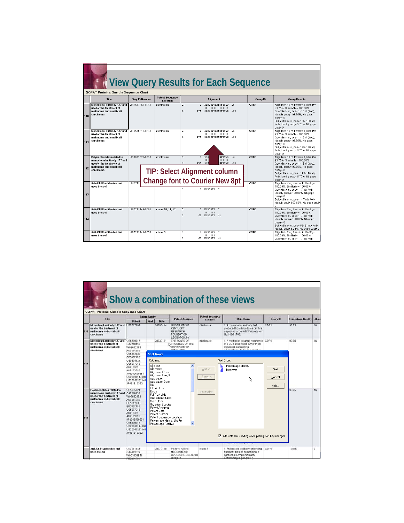|     | <b>View Query Results for Each Sequence</b>                                                                                   |                |                                    |                |                                                                                                                                                   |                                                                        |                  |                                                                                                                                                                                                                                                                    |  |  |  |  |  |  |
|-----|-------------------------------------------------------------------------------------------------------------------------------|----------------|------------------------------------|----------------|---------------------------------------------------------------------------------------------------------------------------------------------------|------------------------------------------------------------------------|------------------|--------------------------------------------------------------------------------------------------------------------------------------------------------------------------------------------------------------------------------------------------------------------|--|--|--|--|--|--|
|     | <b>GQPAT Proteins: Sample Sequence Chart</b>                                                                                  |                |                                    |                |                                                                                                                                                   |                                                                        |                  |                                                                                                                                                                                                                                                                    |  |  |  |  |  |  |
|     | Title                                                                                                                         | Seq. ID Number | <b>Patent Sequence</b><br>Location |                | <b>Alignment</b>                                                                                                                                  |                                                                        | Query ID         | Query Results                                                                                                                                                                                                                                                      |  |  |  |  |  |  |
| 110 | Monoclonal antibody 1A7 and<br>use for the treatment of<br>melanoma and small cell<br>carcinoma                               | US7517967-0066 | disclosure                         | $Q$ :<br>$S$ : | RSSOSIVHSNGNTYLQ<br>$\mathbf{1}$<br>.<br>175 RSSOSIVHSNGNTYLE 190                                                                                 | 16                                                                     | CDR1             | Align len= 16 nt, Errors= 1, Identity=<br>93.75%. Similarity = 100.00%<br>Query len= nt, pos= 1- 16 nt ( fwd),<br>Identity query= 93.75%, Nb gaps<br>$a$ uen $= 0$<br>Subject len= nt, pos= 175- 190 nt (<br>fwd), Identity subj= 5.70%. Nb gaps<br>$sub = 0$      |  |  |  |  |  |  |
| 111 | Monoclonal antibody 1A7 and US6509016-0066<br>use for the treatment of<br>melanoma and small cell<br>carcinoma                |                | disclosure                         | 0:<br>$S$ :    | RSSOSIVHSNGMTYLO 16<br>$\mathbf{1}$<br>$11111111111111111+$<br>175 RSSOSIVHSNGNTYLE 190                                                           |                                                                        | CDR1             | Align len= 16 nt, Errors= 1, Identity=<br>93.75%. Similarity = 100.00%<br>Query len= nt, pos= 1- 16 nt ( fwd),<br>Identity query= 93.75%, Nb gaps<br>$\alpha$ uen $= 0$<br>Subject len= nt, pos= 175- 190 nt (<br>fwd), Identity subj= 5.70%. Nb gaps<br>$sub = 0$ |  |  |  |  |  |  |
| 112 | Polynucleotides related to<br>monoclonal antibody 1A7 and<br>use for the treatment of<br>melanoma and small cell<br>carcinoma | US5935821-0066 | disclosure                         | 0:<br>$g$ .    | GNTYLO 16<br>1 RSS<br>$11111+$<br>$\Box$<br>175 RSS<br>GNTYLE 190<br><b>TIP: Select Alignment column</b><br><b>Change font to Courier New 8pt</b> |                                                                        | CDR1             | Align len= 16 nt, Errors= 1, Identity=<br>93.75%, Similarity = 100.00%<br>Query len= nt, pos= 1-16 nt (fwd),<br>Identity query= 93.75%, Nb gaps<br>$a$ uen $= 0$<br>Subject len= nt, pos= 175-190 nt (<br>fwd), Identity subi= 5.70%. Nb gaps<br>$sub = 0$         |  |  |  |  |  |  |
|     | Anti-IGF-IR antibodies and<br>uses thereof                                                                                    | <b>US7241</b>  |                                    |                | CDR <sub>2</sub>                                                                                                                                  | Alian len= 7 nt, Errors= 0, Identity=<br>100.00%. Similarity = 100.00% |                  |                                                                                                                                                                                                                                                                    |  |  |  |  |  |  |
| 113 |                                                                                                                               |                |                                    | $\alpha$ .     | 1 RUSNELY 7                                                                                                                                       |                                                                        |                  | Query len= nt, pos= 1- 7 nt ( fwd),<br>Identity query= 100.00%. Nb gaps<br>$\alpha$ uen $= 0$<br>Subject len= nt, pos= 1-7 nt ( fwd),<br>Identity subi= 100.00%. Nb gaps subi=                                                                                     |  |  |  |  |  |  |
| 114 | Anti-IGF-IR antibodies and<br>uses thereof                                                                                    | US7241444-0065 | claim: 10: 11: 12                  | 0:<br>S:       | 1 KVSNRLY 7<br>1111111<br>55 KVSNRLY 61                                                                                                           |                                                                        | CDR2             | Alian len= 7 nt. Errors= 0. Identity=<br>100.00%, Similarity = 100.00%<br>Query len= nt. pos= 1-7 nt (fwd).<br>Identity query= 100.00%. Nb gaps<br>$\alpha$ uen $= 0$<br>Subject len= nt, pos= 55- 61 nt ( fwd),<br>Identity subj= 6.25%, Nb gaps subj= 0          |  |  |  |  |  |  |
|     | Anti-IGF-IR antibodies and<br>uses thereof                                                                                    | US7241444-0054 | claim: 5                           | 0:<br>S:       | 1 KVSNRLY 7<br>1111111<br>55 KVSNRLY 61                                                                                                           |                                                                        | CDR <sub>2</sub> | Alian len= 7 nt. Errors= 0. Identity=<br>100.00%. Similarity = 100.00%<br>Query len= nt, pos= 1- 7 nt ( fwd),<br>OD OOM                                                                                                                                            |  |  |  |  |  |  |

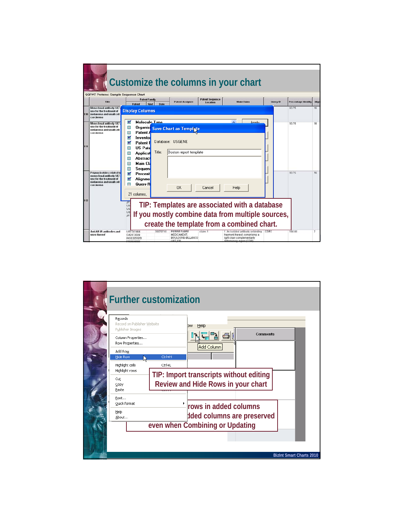

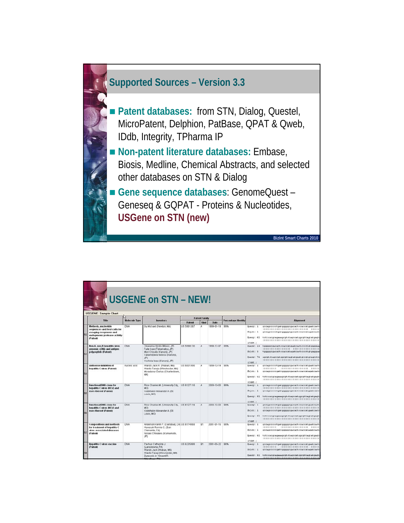

|    | <b>USGENE: Sample Chart</b>                                                                                               |                      |                                                                                                                                                            |                   | <b>Patent Family</b>    |                |                            |                                                                                                                                                                                                                                                                                      |
|----|---------------------------------------------------------------------------------------------------------------------------|----------------------|------------------------------------------------------------------------------------------------------------------------------------------------------------|-------------------|-------------------------|----------------|----------------------------|--------------------------------------------------------------------------------------------------------------------------------------------------------------------------------------------------------------------------------------------------------------------------------------|
|    | Title                                                                                                                     | <b>Molecule Type</b> | <b>Inventors</b>                                                                                                                                           | <b>Patent</b>     | Kind                    | Date           | <b>Percentage Identity</b> | <b>Alignment</b>                                                                                                                                                                                                                                                                     |
|    | Methods, nucleotide<br>sequences and host cells for<br>assaying exogenous and<br>endogenous protease activity<br>(Patent) | DNA                  | Su Michael (Newton, MA)                                                                                                                                    | US 5861267        | A                       | 1999-01-19 99% |                            | Query: 1<br>gccageccectgatggggggacactccaccatgaatcact<br>Shirt: 1<br>geeageeeettgatggggegaeaeteeaeeatagateaeta<br>Query: 61<br>tcttcacgcagaaagcgtctagccatggcgttagtatgagt<br>ICONT. I                                                                                                  |
| 53 | Non-A, non-B hepatitis virus<br>genomic cDNA and antigen<br>polypeptide (Patent)                                          | <b>DNA</b>           | Okayama Hiroto (Minoo, JP)<br>Fuke Isao (Takamatsu, JP)<br>Mori Chisato (Kanonii, JP)<br>Takamizawa Akihisa (Kanonji,<br>JP)<br>Yoshida Iwao (Kanonii, JP) | US 5998130        | A                       | 1999-12-07 99% |                            | Query: 14 toppoproacactocaccat gast cactococt of caggas<br>,,,,,,,,,,,,,,,,,,,,,,,,,,,,,,,,,,,,,,<br>Distem: 5<br>t gggggggacact ccaccat agat cact cccct gt gaggaa<br>Quary: 74<br>agegtetageest ggegttagtat gagtigtegt geageete<br>ICONT. 1                                         |
| 54 | Antisense inhibition of<br>hepatitis C virus (Patent)                                                                     | nucleic acid         | Wands Jack R. (Waban, MA)<br>Wakita Takaja (Winchester, MA)<br>Moradpour Darius (Charlestown,<br>MA)                                                       | <b>US 6001998</b> | А                       | 1999-12-14 98% |                            | Quary: 1<br>gccagocccctgatgggggcgacactccaccatgaatcact<br>Shiet: 1<br>gccagcccccgattgggggcgacactccaccatagatcacto<br>Query: 61 tettcacgcagaaagegtetagecatggegttagtatgagte<br>ICONT. 1                                                                                                  |
| 55 | <b>Functional DNA clone for</b><br>hepatitis C virus (HCV) and<br>uses thereof (Patent)                                   | DNA                  | Rice Charles M. (University City,<br>MO)<br>Kolykhalov Alexander A. (St.<br>Louis, MO)                                                                     | US 6127116        | $\overline{\mathbf{A}}$ | 2000-10-03 99% |                            | gccagoccoct gat gggggcgacact coaccat gaat cact-<br>Query: 1<br>,,,,,,,,,,,,,,,,,,,,,,,,,,,,,,,,,,,,,,<br>Shiet: 1<br>gccagccccctgatgggggcgacactccaccatgaatcactc<br>Query: 61 tettenegengnangegtetngeentggegttngtntgngtg                                                              |
| 56 | Functional DNA clone for<br>hepatitis C virus (HCV) and<br>uses thereof (Patent)                                          | DNA                  | Rice Charles M. (University City,<br>MO)<br>Kolvkhalov Alexander A. (St.<br>Louis, MO)                                                                     | US 6127116        |                         | 2000-10-03 99% |                            | ICONT. 1<br>Quary: 1<br>geeageeeeet gat gegegeeaaet eeaceat gaat eaet<br>,,,,,,,,,,,,,,,,,,,,,,,,,,,,,,,,,,,,,,<br>$3b$ ) $ct:1$<br>gccagescect.gat.gggggcgacact.ccaccat.gaat.cact.<br>Query: 61 tcttcacgcagaaagcgtctagccatggcgttagtatgagt<br>,,,,,,,,,,,,,,,,,,,,,,,,,,,,,,,,,,,,,, |
| κ  | Compositions and methods<br>for treatment of hepatitis C<br>virus associated diseases<br>(Patent)                         | <b>DNA</b>           | Anderson Kevin P. (Carlsbad, CA) US 6174068<br>Hanecak Ronnie C. (San<br>Clemente, CA<br>Nozaki Chikateru (Kumamoto,<br>JP)                                |                   | B1                      | 2001-01-16 98% |                            | ICONT. I<br>Query: 1<br>gccageccettgatgggggggacactccaccatgaatcacto<br>Shiet: 1<br>gecageccccattgggggcgacactccaccatagatcacto<br>Query: 61 tcttcacgcagaaagcgtctagccatggcgttagtatgagt<br>ICONT. I                                                                                       |
| 58 | Hepatitis C virus vaccine<br>(Patent)                                                                                     | DNA                  | Pachuk Catherine J.<br>(Lansdowne, PA)<br>Wands Jack (Waban, MA)<br>Wakita Takaji (Winchester, MA)<br>Zurawski Jr. Vincent R.                              | <b>US 6235888</b> | B1                      | 2001-05-22 98% |                            | Query: 1<br>gccageccect.gat.gggggcgacact.ceaccat.gaat.cact.<br>Shiet: 1<br>gccageccccgattgggggcgacactccaccatagatcactc<br>Query: 61 tetteacgcagaaagegtetagecatggegttagtatgagt                                                                                                         |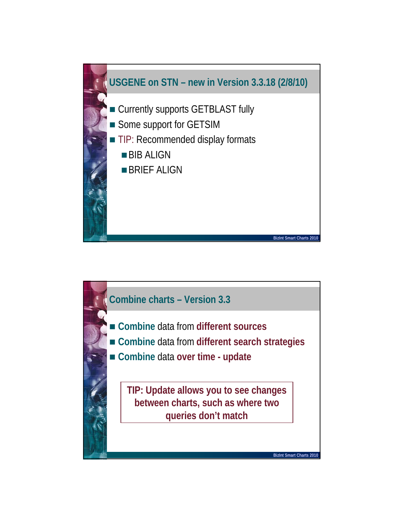

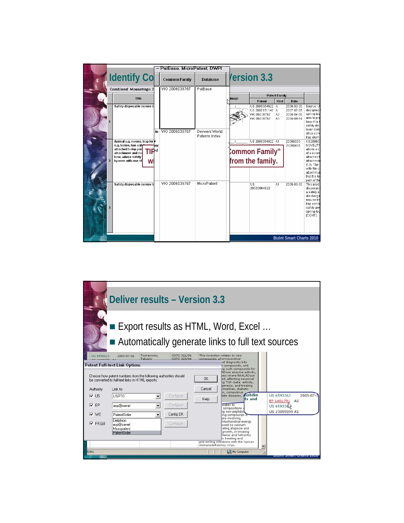|                                                                                                                                                           | – PatBase, MicroPatent, DWPI |                 |      |                                                                  |          |                                                                                                                                                                                          |
|-----------------------------------------------------------------------------------------------------------------------------------------------------------|------------------------------|-----------------|------|------------------------------------------------------------------|----------|------------------------------------------------------------------------------------------------------------------------------------------------------------------------------------------|
| <b>Identify Co</b>                                                                                                                                        | <b>Common Family</b>         | <b>Database</b> |      | <b>Version 3.3</b>                                               |          |                                                                                                                                                                                          |
| <b>Combined: Mousetraps 2</b>                                                                                                                             | WO 2006036767                | PatBase         |      |                                                                  |          |                                                                                                                                                                                          |
| Title                                                                                                                                                     |                              |                 | mage | <b>Patent Family</b>                                             |          |                                                                                                                                                                                          |
|                                                                                                                                                           |                              |                 |      | Patent                                                           | Kind     | Date                                                                                                                                                                                     |
| Safety disposable mouse tr                                                                                                                                | WO 2006036767<br>in l        | Derwent World   |      | US 2006064922 A<br>US 2007151140 A<br>WO 06036767<br>WO 06036767 | A2<br>A3 | 2006-03-30<br>Source: U<br>designed<br>2007-07-05<br>spring-los<br>2006-04-06<br>arm to pre<br>2006-09-14<br>bow of a s<br>safety dis<br>lever scret<br>other com                        |
| Animal e.g. mouse, trap for V<br>e.g. house, has saf<br>attached to top por<br>TIPª<br>attachment and ma<br>bow, where safety<br>by user with use of<br>W | æг                           | Patents Index   |      | US 2006064922 A1<br>Common Family"<br>from the family.           |          | trap elem<br>US20060<br>20060330<br>NOVELTY<br>20060406<br>above a c<br>of a screw<br>attached t<br>attachmer<br>$(12)$ . The<br>with the u.<br>attachmer<br>that the let<br>path of the |
| Safety disposable mouse tr                                                                                                                                | WO 2006036767                | MicroPatent     |      | US<br>20060064922                                                | A1       | 2006-03-30<br>This prod<br>disposab<br>a safety a<br>discharge<br>mouse tra<br>trap consi<br>safety arm<br>spring-los<br>[CONT.]                                                         |
|                                                                                                                                                           |                              |                 |      |                                                                  |          | <b>BizInt Smart Charts 2010</b>                                                                                                                                                          |

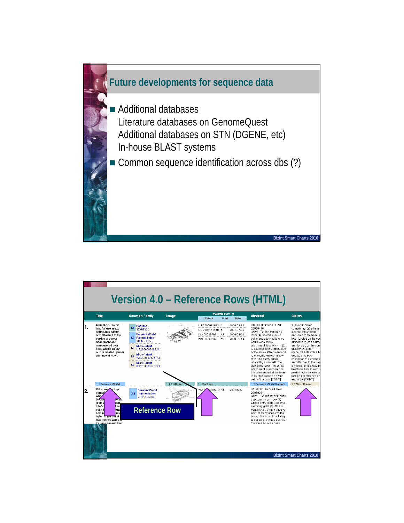